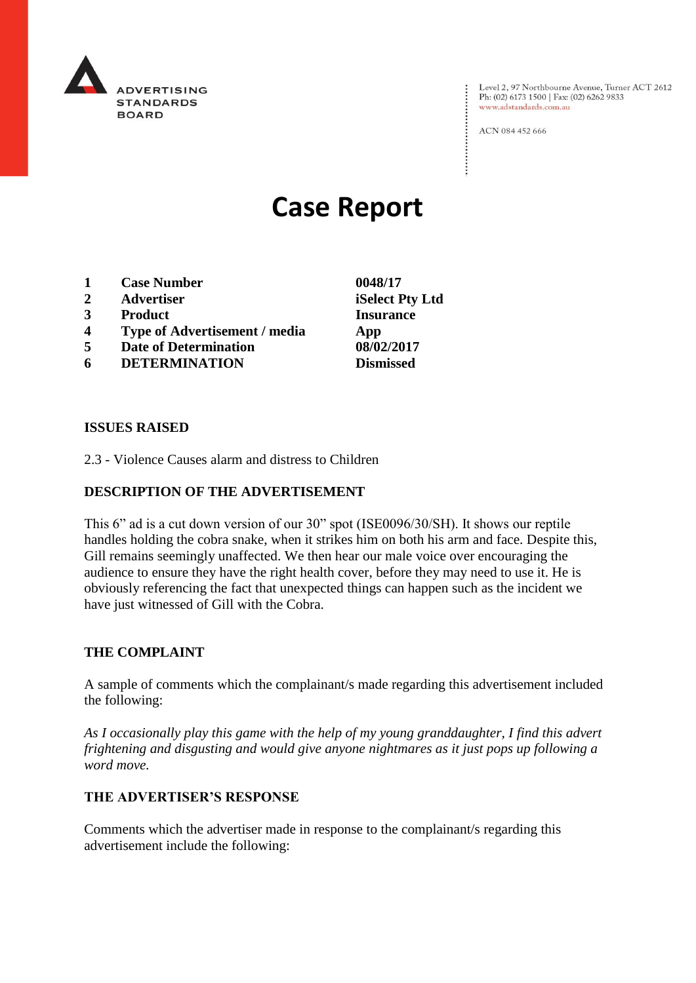

Level 2, 97 Northbourne Avenue, Turner ACT 2612<br>Ph: (02) 6173 1500 | Fax: (02) 6262 9833 www.adstandards.com.au

ACN 084 452 666

# **Case Report**

- **1 Case Number 0048/17**
- **2 Advertiser iSelect Pty Ltd**
- **3 Product Insurance**
- **4 Type of Advertisement / media App**
- **5 Date of Determination 08/02/2017**
- **6 DETERMINATION Dismissed**

#### **ISSUES RAISED**

2.3 - Violence Causes alarm and distress to Children

## **DESCRIPTION OF THE ADVERTISEMENT**

This 6" ad is a cut down version of our 30" spot (ISE0096/30/SH). It shows our reptile handles holding the cobra snake, when it strikes him on both his arm and face. Despite this, Gill remains seemingly unaffected. We then hear our male voice over encouraging the audience to ensure they have the right health cover, before they may need to use it. He is obviously referencing the fact that unexpected things can happen such as the incident we have just witnessed of Gill with the Cobra.

#### **THE COMPLAINT**

A sample of comments which the complainant/s made regarding this advertisement included the following:

*As I occasionally play this game with the help of my young granddaughter, I find this advert frightening and disgusting and would give anyone nightmares as it just pops up following a word move.*

#### **THE ADVERTISER'S RESPONSE**

Comments which the advertiser made in response to the complainant/s regarding this advertisement include the following: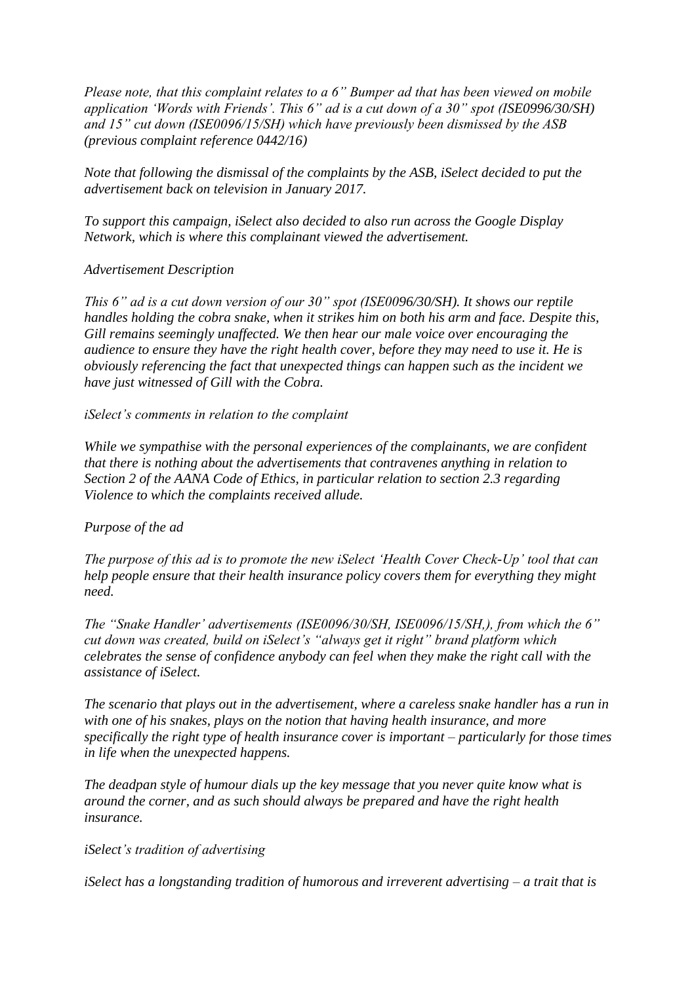*Please note, that this complaint relates to a 6" Bumper ad that has been viewed on mobile application 'Words with Friends'. This 6" ad is a cut down of a 30" spot (ISE0996/30/SH) and 15" cut down (ISE0096/15/SH) which have previously been dismissed by the ASB (previous complaint reference 0442/16)*

*Note that following the dismissal of the complaints by the ASB, iSelect decided to put the advertisement back on television in January 2017.*

*To support this campaign, iSelect also decided to also run across the Google Display Network, which is where this complainant viewed the advertisement.*

## *Advertisement Description*

*This 6" ad is a cut down version of our 30" spot (ISE0096/30/SH). It shows our reptile handles holding the cobra snake, when it strikes him on both his arm and face. Despite this, Gill remains seemingly unaffected. We then hear our male voice over encouraging the audience to ensure they have the right health cover, before they may need to use it. He is obviously referencing the fact that unexpected things can happen such as the incident we have just witnessed of Gill with the Cobra.*

*iSelect's comments in relation to the complaint*

*While we sympathise with the personal experiences of the complainants, we are confident that there is nothing about the advertisements that contravenes anything in relation to Section 2 of the AANA Code of Ethics, in particular relation to section 2.3 regarding Violence to which the complaints received allude.*

#### *Purpose of the ad*

*The purpose of this ad is to promote the new iSelect 'Health Cover Check-Up' tool that can help people ensure that their health insurance policy covers them for everything they might need.*

*The "Snake Handler' advertisements (ISE0096/30/SH, ISE0096/15/SH,), from which the 6" cut down was created, build on iSelect's "always get it right" brand platform which celebrates the sense of confidence anybody can feel when they make the right call with the assistance of iSelect.*

*The scenario that plays out in the advertisement, where a careless snake handler has a run in with one of his snakes, plays on the notion that having health insurance, and more specifically the right type of health insurance cover is important – particularly for those times in life when the unexpected happens.*

*The deadpan style of humour dials up the key message that you never quite know what is around the corner, and as such should always be prepared and have the right health insurance.*

*iSelect's tradition of advertising*

*iSelect has a longstanding tradition of humorous and irreverent advertising – a trait that is*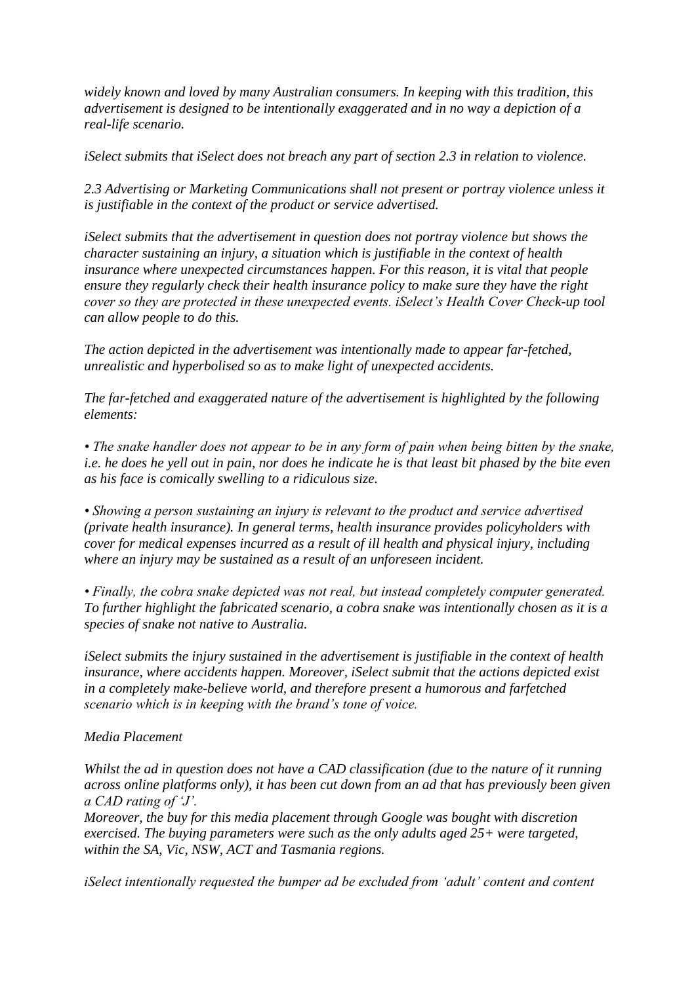*widely known and loved by many Australian consumers. In keeping with this tradition, this advertisement is designed to be intentionally exaggerated and in no way a depiction of a real-life scenario.*

*iSelect submits that iSelect does not breach any part of section 2.3 in relation to violence.*

*2.3 Advertising or Marketing Communications shall not present or portray violence unless it is justifiable in the context of the product or service advertised.*

*iSelect submits that the advertisement in question does not portray violence but shows the character sustaining an injury, a situation which is justifiable in the context of health insurance where unexpected circumstances happen. For this reason, it is vital that people ensure they regularly check their health insurance policy to make sure they have the right cover so they are protected in these unexpected events. iSelect's Health Cover Check-up tool can allow people to do this.*

*The action depicted in the advertisement was intentionally made to appear far-fetched, unrealistic and hyperbolised so as to make light of unexpected accidents.*

*The far-fetched and exaggerated nature of the advertisement is highlighted by the following elements:*

*• The snake handler does not appear to be in any form of pain when being bitten by the snake, i.e. he does he yell out in pain, nor does he indicate he is that least bit phased by the bite even as his face is comically swelling to a ridiculous size.*

*• Showing a person sustaining an injury is relevant to the product and service advertised (private health insurance). In general terms, health insurance provides policyholders with cover for medical expenses incurred as a result of ill health and physical injury, including where an injury may be sustained as a result of an unforeseen incident.*

*• Finally, the cobra snake depicted was not real, but instead completely computer generated. To further highlight the fabricated scenario, a cobra snake was intentionally chosen as it is a species of snake not native to Australia.*

*iSelect submits the injury sustained in the advertisement is justifiable in the context of health insurance, where accidents happen. Moreover, iSelect submit that the actions depicted exist in a completely make-believe world, and therefore present a humorous and farfetched scenario which is in keeping with the brand's tone of voice.*

## *Media Placement*

*Whilst the ad in question does not have a CAD classification (due to the nature of it running across online platforms only), it has been cut down from an ad that has previously been given a CAD rating of 'J'.*

*Moreover, the buy for this media placement through Google was bought with discretion exercised. The buying parameters were such as the only adults aged 25+ were targeted, within the SA, Vic, NSW, ACT and Tasmania regions.*

*iSelect intentionally requested the bumper ad be excluded from 'adult' content and content*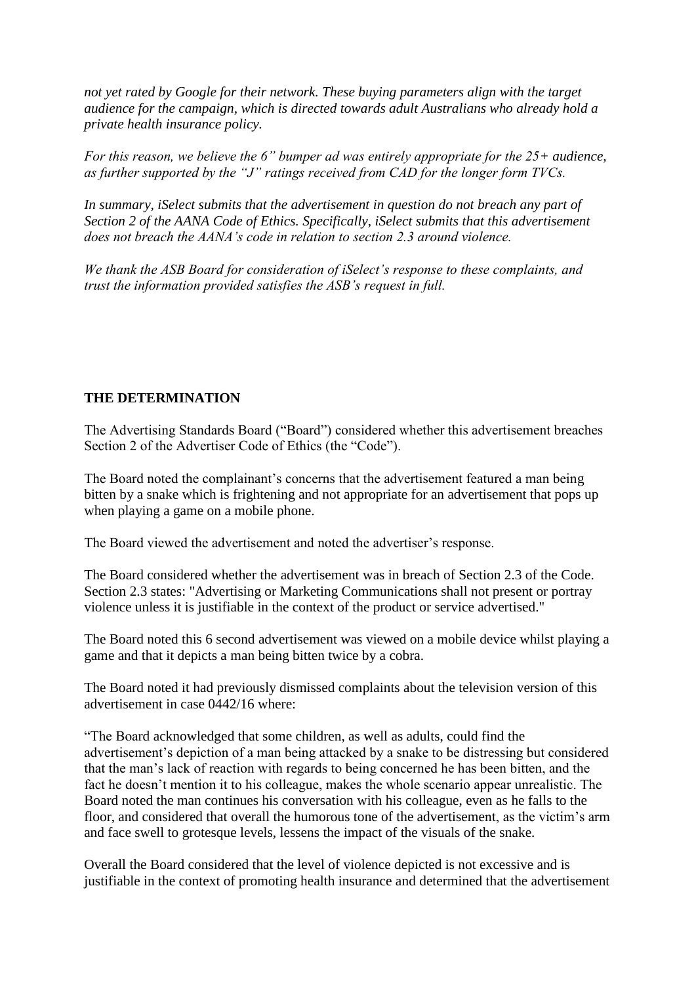*not yet rated by Google for their network. These buying parameters align with the target audience for the campaign, which is directed towards adult Australians who already hold a private health insurance policy.*

*For this reason, we believe the 6" bumper ad was entirely appropriate for the 25+ audience, as further supported by the "J" ratings received from CAD for the longer form TVCs.*

*In summary, iSelect submits that the advertisement in question do not breach any part of Section 2 of the AANA Code of Ethics. Specifically, iSelect submits that this advertisement does not breach the AANA's code in relation to section 2.3 around violence.*

*We thank the ASB Board for consideration of iSelect's response to these complaints, and trust the information provided satisfies the ASB's request in full.*

# **THE DETERMINATION**

The Advertising Standards Board ("Board") considered whether this advertisement breaches Section 2 of the Advertiser Code of Ethics (the "Code").

The Board noted the complainant's concerns that the advertisement featured a man being bitten by a snake which is frightening and not appropriate for an advertisement that pops up when playing a game on a mobile phone.

The Board viewed the advertisement and noted the advertiser's response.

The Board considered whether the advertisement was in breach of Section 2.3 of the Code. Section 2.3 states: "Advertising or Marketing Communications shall not present or portray violence unless it is justifiable in the context of the product or service advertised."

The Board noted this 6 second advertisement was viewed on a mobile device whilst playing a game and that it depicts a man being bitten twice by a cobra.

The Board noted it had previously dismissed complaints about the television version of this advertisement in case 0442/16 where:

"The Board acknowledged that some children, as well as adults, could find the advertisement's depiction of a man being attacked by a snake to be distressing but considered that the man's lack of reaction with regards to being concerned he has been bitten, and the fact he doesn't mention it to his colleague, makes the whole scenario appear unrealistic. The Board noted the man continues his conversation with his colleague, even as he falls to the floor, and considered that overall the humorous tone of the advertisement, as the victim's arm and face swell to grotesque levels, lessens the impact of the visuals of the snake.

Overall the Board considered that the level of violence depicted is not excessive and is justifiable in the context of promoting health insurance and determined that the advertisement